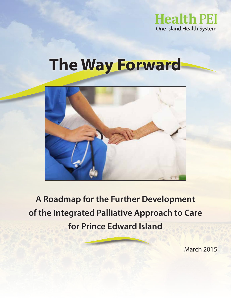

# **The Way Forward**



**A Roadmap for the Further Development of the Integrated Palliative Approach to Care for Prince Edward Island**

March 2015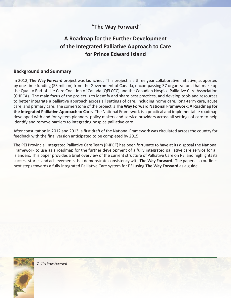### **"The Way Forward"**

## **A Roadmap for the Further Development of the Integrated Palliative Approach to Care for Prince Edward Island**

#### **Background and Summary**

In 2012, **The Way Forward** project was launched. This project is a three year collaborative initiative, supported by one-time funding (\$3 million) from the Government of Canada, encompassing 37 organizations that make up the Quality End-of-Life Care Coalition of Canada (QELCCC) and the Canadian Hospice Palliative Care Association (CHPCA). The main focus of the project is to identify and share best practices, and develop tools and resources to better integrate a palliative approach across all settings of care, including home care, long-term care, acute care, and primary care. The cornerstone of the project is **The Way Forward National Framework: A Roadmap for the Integrated Palliative Approach to Care.** The National Framework is a practical and implementable roadmap developed with and for system planners, policy makers and service providers across all settings of care to help identify and remove barriers to integrating hospice palliative care.

After consultation in 2012 and 2013, a first draft of the National Framework was circulated across the country for feedback with the final version anticipated to be completed by 2015.

The PEI Provincial Integrated Palliative Care Team (P-IPCT) has been fortunate to have at its disposal the National Framework to use as a roadmap for the further development of a fully integrated palliative care service for all Islanders. This paper provides a brief overview of the current structure of Palliative Care on PEI and highlights its success stories and achievements that demonstrate consistency with **The Way Forward**. The paper also outlines next steps towards a fully integrated Palliative Care system for PEI using **The Way Forward** as a guide.

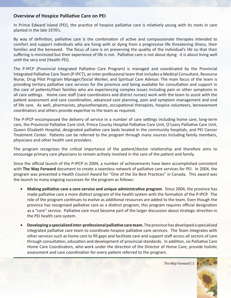#### **Overview of Hospice Palliative Care on PEI**

In Prince Edward Island (PEI), the practice of hospice palliative care is relatively young with its roots in care planted in the late 1970's.

By way of definition, palliative care is the combination of active and compassionate therapies intended to comfort and support individuals who are living with or dying from a progressive life threatening illness, their families and the bereaved. The focus of care is on preserving the quality of the individual's life so that their suffering is minimized but their experience of life is not. Palliative care is not about dying: it is about living well until the very end (Health PEI).

The P-IPCP (Provincial Integrated Palliative Care Program) is managed and coordinated by the Provincial Integrated Palliative Care Team (P-IPCT), an inter-professional team that includes a Medical Consultant, Resource Nurse, Drug Pilot Program Manager/Social Worker, and Spiritual Care Advisor. The main focus of the team is providing tertiary palliative care services for the province and being available for consultation and support in the care of patients/their families who are experiencing complex issues including pain or other symptoms in all care settings. Home care staff (care coordinators and district nurses) work with the team to assist with the patient assessment and care coordination, advanced care planning, pain and symptom management and end of life care. As well, pharmacists, physiotherapists, occupational therapists, hospice volunteers, bereavement coordinators and others provide expertise to the team as required.

The P-IPCP encompassed the delivery of service in a number of care settings including home care, long-term care, the Provincial Palliative Care Unit, Prince County Hospital Palliative Care Unit, O'Leary Palliative Care Unit, Queen Elizabeth Hospital, designated palliative care beds located in the community hospitals, and PEI Cancer Treatment Center. Patients can be referred to the program through many sources including family members, physicians and other health care providers.

The program recognizes the critical importance of the patient/doctor relationship and therefore aims to encourage primary care physicians to remain actively involved in the care of the patient and family.

Since the official launch of the P-IPCP in 2004, a number of achievements have been accomplished consistent with **The Way Forward** document to create a seamless network of palliative care services for PEI. In 2004, the program was presented a Health Council Award for "One of the Six Best Practices" in Canada. This award was the launch to many ongoing successes for the program as follows:

- **Making palliative care a core service and unique administrative program.** Since 2004, the province has made palliative care a more distinct program of the health system with the formation of the P-IPCP. The role of the program continues to evolve as additional resources are added to the team. Even though the province has recognized palliative care as a distinct program, this program requires official designation as a "core" service. Palliative care must become part of the larger discussion about strategic direction in the PEI health care system.
- **Developing a specialized inter-professional palliative care team.** The province has developed a specialized integrated palliative care team to coordinate hospice palliative care services. The Team integrates with other services such as home care to fill gaps and facilitate care and support staff across all sectors of care through consultation, education and development of provincial standards. In addition, six Palliative Care Home Care Coordinators, who work under the direction of the Director of Home Care, provide holistic assessment and care coordination for every patient referred to the program.

 *The Way Forward | 3*

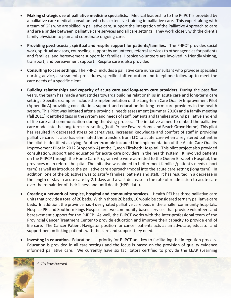- • **Making strategic use of palliative medicine specialists.** Medical leadership to the P-IPCT is provided by a palliative care medical consultant who has extensive training in palliative care. This expert along with a team of GPs who are skilled in palliative care, support the integration of the Palliative Approach to care and are a bridge between palliative care services and all care settings. They work closely with the client's family physician to plan and coordinate ongoing care.
- Providing psychosocial, spiritual and respite support for patients/families. The P-IPCT provides social work, spiritual advisors, counseling, support by volunteers, referral services to other agencies for patients and families, and bereavement support for families. Hospice volunteers are involved in friendly visiting, transport, and bereavement support. Respite care is also provided.
- • **Consulting to care settings.** The P-IPCT includes a palliative care nurse consultant who provides specialist nursing advice, assessment, procedures, specific staff education and telephone follow-up to meet the care needs of a specific client.
- **Building relationships and capacity of acute care and long-term care providers.** During the past five years, the team has made great strides towards building relationships in acute care and long-term care settings. Specific examples include the implementation of the Long-term Care Quality Improvement Pilot (Appendix A) providing consultation, support and education for long-term care providers in the health system. This Pilot was initiated after a provincial needs assessment (summer 2010) and a family meeting (fall 2011) identified gaps in the system and needs of staff, patients and families around palliative and end of life care and communication during the dying process. The initiative aimed to embed the palliative care model into the long-term care setting (both Prince Edward Home and Beach Grove Home). This pilot has resulted in decreased stress on caregivers, increased knowledge and comfort of staff in providing palliative care. It also has eliminated the transfers from LTC to acute care when a registered patient in the pilot is identified as dying. Another example included the implementation of the Acute Care Quality Improvement Pilot in 2012 (Appendix A) at the Queen Elizabeth Hospital. This pilot project also provided consultation, support and education for acute care providers in the health system. It involved patients on the P-IPCP through the Home Care Program who were admitted to the Queen Elizabeth Hospital, the provinces main referral hospital. The initiative was aimed to better meet families/patient's needs (short term) as well as introduce the palliative care approach/model into the acute care setting (long term). In addition, one of the objectives was to satisfy families, patients and staff. It has resulted in a decrease in the length of stay in acute care by 2.1 days and a vast decrease in the rate of readmission to acute care over the remainder of their illness and until death (HPEI data).
- **Creating a network of hospice, hospital and community services.** Health PEI has three palliative care units that provide a total of 20 beds. Within those 20 beds, 10 would be considered tertiary palliative care beds. In addition, the province has 4 designated palliative care beds in the smaller community hospitals. Hospice PEI and Southern Kings Hospice are two community-based services that provide volunteers and bereavement support for the P-IPCP. As well, the P-IPCT works with the inter-professional team of the Provincial Cancer Treatment Center to provide education and improve their capacity to provide end of life care. The Cancer Patient Navigator position for cancer patients acts as an advocate, educator and support person linking patients with the care and support they need.
- Investing in education. Education is a priority for P-IPCT and key to facilitating the integration process. Education is provided in all care settings and the focus is based on the provision of quality evidence informed palliative care. We currently have six facilitators certified to provide the LEAP (Learning

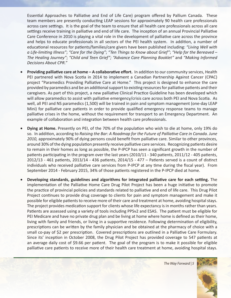Essential Approaches to Palliative and End of Life Care) program offered by Pallium Canada. These team members are presently conducting LEAP sessions for approximately 90 health care professionals across care settings. It is the goal of the team to ensure that all health care professionals across all care settings receive training in palliative and end of life care. The inception of an annual Provincial Palliative Care Conference in 2010 is playing a vital role in the development of palliative care across the province and helps to educate professionals in all sectors of the PEI health system. In addition, a number of educational resources for patients/families/care givers have been published including: *"Living Well with a Life-limiting Illness"*; *"Care for the Dying"*; *"Ten Things to Know about Grief"*; *"Help for the Bereaved – The Healing Journey"*; *"Child and Teen Grief"; "Advance Care Planning Booklet"* and *"Making Informed Decisions About CPR."*

- **Providing palliative care at home A collaborative effort.** In addition to our community services, Health PEI partnered with Nova Scotia in 2014 to implement a Canadian Partnership Against Cancer (CPAC) project "Paramedics Providing Palliative Care at Home." This project is designed to enhance the care provided by paramedics and be an additional support to existing resources for palliative patients and their caregivers. As part of this project, a new palliative Clinical Practice Guideline has been developed which will allow paramedics to assist with palliative emergency/crisis care across both PEI and Nova Scotia. As well, all PEI and NS paramedics (1,500) will be trained in pain and symptom management (one-day LEAP Mini) for palliative care patients in order to provide qualified emergency response teams to manage palliative crises in the home, without the requirement for transport to an Emergency Department. An example of collaboration and integration between health care professionals.
- **Dying at Home.** Presently on PEI, of the 70% of the population who wish to die at home, only 19% do so. In addition, according to *Raising the Bar: A Roadmap for the Future of Palliative Care in Canada. June 2010,* approximately 90% of dying persons could benefit from palliative care. Similar to other provinces, around 30% of the dying population presently receive palliative care services. Recognizing patients desire to remain in their homes as long as possible, the P-IPCP has seen a significant growth in the number of patients participating in the program over the last years (2010/11 - 340 patients, 2011/12 - 405 patients, 2012/13 - 461 patients, 2013/14 - 436 patients, 2014/15 - 477 – Patients served is a count of distinct individuals who received palliative care services from P-IPCP at any time during the fiscal year). From September 2014 - February 2015, 34% of those patients registered in the P-IPCP died at home.
- **Developing standards, guidelines and algorithms for integrated palliative care for each setting.** The implementation of the Palliative Home Care Drug Pilot Project has been a huge initiative to promote the practice of provincial policies and standards related to palliative and end of life care. This Drug Pilot Project continues to provide drug coverage to clients for pain and symptom management and make it possible for eligible patients to receive more of their care and treatment at home, avoiding hospital stays. The project provides medication support for clients whose life expectancy is in months rather than years. Patients are assessed using a variety of tools including PPSv2 and ESAS. The patient must be eligible for PEI Medicare and have no private drug plan and be living at home where home is defined as their home, living with family and friends, or living in a supportive residence. Following determination of eligibility, prescriptions can be written by the family physician and be obtained at the pharmacy of choice with a small co-pay of \$2 per prescription. Covered prescriptions are outlined in a Palliative Care Formulary. Since its' inception in October 2008, the Drug Pilot Project has provided coverage to 547 patients at an average daily cost of \$9.66 per patient. The goal of the program is to make it possible for eligible palliative care patients to receive more of their health care treatment at home, avoiding hospital stays.

 *The Way Forward | 5*

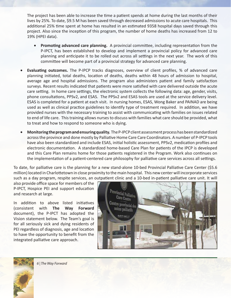The project has been able to increase the time a patient spends at home during the last months of their lives by 25%. To date, \$9.5 M has been saved through decreased admissions to acute care hospitals. This additional 25% time spent at home has resulted in an estimated 9358 hospital days saved through this project. Also since the inception of this program, the number of home deaths has increased from 12 to 19% (HPEI data).

- **Promoting advanced care planning.** A provincial committee, including representation from the P-IPCT, has been established to develop and implement a provincial policy for advanced care planning and anticipate it to be rolled out across all settings in the next year. The work of this committee will become part of a provincial strategy for advanced care planning.
- Evaluating outcomes. The P-IPCP tracks diagnoses, overview of client profiles, % of advanced care planning initiated, total deaths, location of deaths, deaths within 48 hours of admission to hospital, average age and hospital admissions. The program also administers patient and family satisfaction surveys. Recent results indicated that patients were more satisfied with care delivered outside the acute care setting. In home care settings, the electronic system collects the following data: age, gender, visits, phone consultations, PPSv2, and ESAS. The PPSv2 and ESAS tools are used at the service delivery level. ESAS is completed for a patient at each visit. In nursing homes, ESAS, Wong Baker and PAINAD are being used as well as clinical practice guidelines to identify type of treatment required. In addition, we have provided nurses with the necessary training to assist with communicating with families on issues related to end of life care. This training allows nurses to discuss with families what care should be provided, what to treat and how to respond to someone who is dying.
- • **Monitoring the program and ensuring quality.** The P-IPCP client assessment process has been standardized across the province and done mostly by Palliative Home Care Care Coordinators. A number of P-IPCP tools have also been standardized and include ESAS, initial holistic assessment, PPSv2, medication profiles and electronic documentation. A standardized home-based Care Plan for patients of the IPCP is developed and this Care Plan remains home for those patients registered in the Program. Work also continues on the implementation of a patient-centered care philosophy for palliative care services across all settings.

To date, for palliative care is the planning for a new stand-alone 10-bed Provincial Palliative Care Center (\$5.6 million) located in Charlottetown in close proximity to the main hospital. This new center will incorporate services such as a day program, respite services, an outpatient clinic and a 10-bed in-patient palliative care unit. It will

also provide office space for members of the P-IPCT, Hospice PEI and support education and research at large.

In addition to above listed initiatives (consistent with **The Way Forward** document), the P-IPCT has adopted the Vision statement below. The Team's goal is for all seriously sick and dying residents of PEI regardless of diagnosis, age and location to have the opportunity to benefit from the integrated palliative care approach.

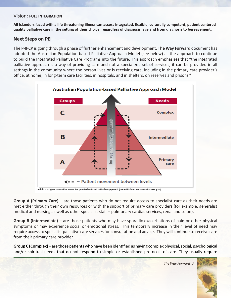#### Vision: **FULL INTEGRATION**

**All Islanders faced with a life threatening illness can access integrated, flexible, culturally competent, patient centered quality palliative care in the setting of their choice, regardless of diagnosis, age and from diagnosis to bereavement.**

#### **Next Steps on PEI**

The P-IPCP is going through a phase of further enhancement and development. **The Way Forward** document has adopted the Australian Population-based Palliative Approach Model (see below) as the approach to continue to build the Integrated Palliative Care Programs into the future. This approach emphasizes that "the integrated palliative approach is a way of providing care and not a specialized set of services, it can be provided in all settings in the community where the person lives or is receiving care, including in the primary care provider's office, at home, in long-term care facilities, in hospitals, and in shelters, on reserves and prisons."



Exhibit 1. Original Australian model for population-based palliative approach [see Palliative Care Australia 2005, p13]

**Group A (Primary Care)** – are those patients who do not require access to specialist care as their needs are met either through their own resources or with the support of primary care providers (for example, generalist medical and nursing as well as other specialist staff – pulmonary cardiac services, renal and so on).

**Group B (Intermediate)** – are those patients who may have sporadic exacerbations of pain or other physical symptoms or may experience social or emotional stress. This temporary increase in their level of need may require access to specialist palliative care services for consultation and advice. They will continue to receive care from their primary care provider.

**Group C (Complex)** – are those patients who have been identified as having complex physical, social, psychological and/or spiritual needs that do not respond to simple or established protocols of care. They usually require

 *The Way Forward | 7*

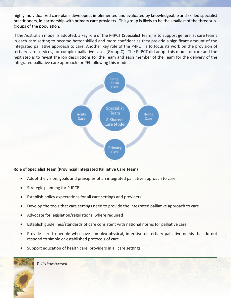highly individualized care plans developed, implemented and evaluated by knowledgeable and skilled specialist practitioners, in partnership with primary care providers. This group is likely to be the smallest of the three subgroups of the population.

If the Australian model is adopted, a key role of the P-IPCT (Specialist Team) is to support generalist care teams in each care setting to become better skilled and more confident as they provide a significant amount of the integrated palliative approach to care. Another key role of the P-IPCT is to focus its work on the provision of tertiary care services, for complex palliative cases (Group C). The P-IPCT did adopt this model of care and the next step is to revisit the job descriptions for the Team and each member of the Team for the delivery of the integrated palliative care approach for PEI following this model.



#### **Role of Specialist Team (Provincial Integrated Palliative Care Team)**

- Adopt the vision, goals and principles of an integrated palliative approach to care
- Strategic planning for P-IPCP
- Establish policy expectations for all care settings and providers
- Develop the tools that care settings need to provide the integrated palliative approach to care
- Advocate for legislation/regulations, where required
- Establish guidelines/standards of care consistent with national norms for palliative care
- Provide care to people who have complex physical, intensive or tertiary palliative needs that do not respond to simple or established protocols of care
- Support education of health care providers in all care settings

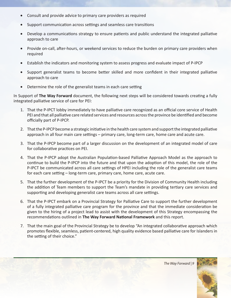- Consult and provide advice to primary care providers as required
- Support communication across settings and seamless care transitions
- Develop a communications strategy to ensure patients and public understand the integrated palliative approach to care
- Provide on-call, after-hours, or weekend services to reduce the burden on primary care providers when required
- Establish the indicators and monitoring system to assess progress and evaluate impact of P-IPCP
- • Support generalist teams to become better skilled and more confident in their integrated palliative approach to care
- Determine the role of the generalist teams in each care setting

In Support of **The Way Forward** document, the following next steps will be considered towards creating a fully integrated palliative service of care for PEI:

- 1. That the P-IPCT lobby immediately to have palliative care recognized as an official core service of Health PEI and that all palliative care related services and resources across the province be identified and become officially part of P-IPCP.
- 2. That the P-IPCP become a strategic initiative in the health care system and support the integrated palliative approach in all four main care settings – primary care, long-term care, home care and acute care.
- 3. That the P-IPCP become part of a larger discussion on the development of an integrated model of care for collaborative practices on PEI.
- 4. That the P-IPCP adopt the Australian Population-based Palliative Approach Model as the approach to continue to build the P-IPCP into the future and that upon the adoption of this model, the role of the P-IPCT be communicated across all care settings of HPEI including the role of the generalist care teams for each care setting – long-term care, primary care, home care, acute care.
- 5. That the further development of the P-IPCT be a priority for the Division of Community Health including the addition of Team members to support the Team's mandate in providing tertiary care services and supporting and developing generalist care teams across all care settings.
- 6. That the P-IPCT embark on a Provincial Strategy for Palliative Care to support the further development of a fully integrated palliative care program for the province and that the immediate consideration be given to the hiring of a project lead to assist with the development of this Strategy encompassing the recommendations outlined in **The Way Forward National Framework** and this report.
- 7. That the main goal of the Provincial Strategy be to develop "An integrated collaborative approach which promotes flexible, seamless, patient-centered, high quality evidence based palliative care for Islanders in the setting of their choice."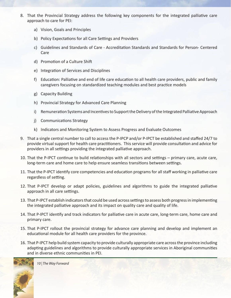- 8. That the Provincial Strategy address the following key components for the integrated palliative care approach to care for PEI:
	- a) Vision, Goals and Principles
	- b) Policy Expectations for all Care Settings and Providers
	- c) Guidelines and Standards of Care Accreditation Standards and Standards for Person- Centered Care
	- d) Promotion of a Culture Shift
	- e) Integration of Services and Disciplines
	- f) Education: Palliative and end of life care education to all health care providers, public and family caregivers focusing on standardized teaching modules and best practice models
	- g) Capacity Building
	- h) Provincial Strategy for Advanced Care Planning
	- i) Remuneration Systems and Incentives to Support the Delivery of the Integrated Palliative Approach
	- j) Communications Strategy
	- k) Indicators and Monitoring System to Assess Progress and Evaluate Outcomes
- 9. That a single central number to call to access the P-IPCP and/or P-IPCT be established and staffed 24/7 to provide virtual support for health care practitioners. This service will provide consultation and advice for providers in all settings providing the integrated palliative approach.
- 10. That the P-IPCT continue to build relationships with all sectors and settings primary care, acute care, long-term care and home care to help ensure seamless transitions between settings.
- 11. That the P-IPCT identify core competencies and education programs for all staff working in palliative care regardless of setting.
- 12. That P-IPCT develop or adapt policies, guidelines and algorithms to guide the integrated palliative approach in all care settings.
- 13. That P-IPCT establish indicators that could be used across settings to assess both progress in implementing the integrated palliative approach and its impact on quality care and quality of life.
- 14. That P-IPCT identify and track indicators for palliative care in acute care, long-term care, home care and primary care.
- 15. That P-IPCT rollout the provincial strategy for advance care planning and develop and implement an educational module for all health care providers for the province.
- 16. That P-IPCT help build system capacity to provide culturally appropriate care across the province including adapting guidelines and algorithms to provide culturally appropriate services in Aboriginal communities and in diverse ethnic communities in PEI.

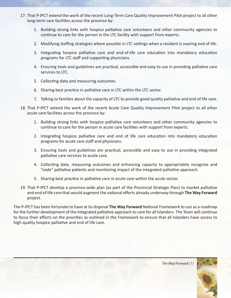- 17. That P-IPCT extend the work of the recent Long-Term Care Quality Improvement Pilot project to all other long-term care facilities across the province by:
	- 1. Building strong links with hospice palliative care volunteers and other community agencies to continue to care for the person in the LTC facility with support from experts.
	- 2. Modifying staffing strategies where possible in LTC settings when a resident is nearing end of life.
	- 3. Integrating hospice palliative care and end-of-life care education into mandatory education programs for LTC staff and supporting physicians.
	- 4. Ensuring tools and guidelines are practical, accessible and easy to use in providing palliative care services to LTC.
	- 5. Collecting data and measuring outcomes.
	- 6. Sharing best practice in palliative care in LTC within the LTC sector.
	- 7. Talking to families about the capacity of LTC to provide good quality palliative and end of life care.
- 18. That P-IPCT extend the work of the recent Acute Care Quality Improvement Pilot project to all other acute care facilities across the province by:
	- 1. Building strong links with hospice palliative care volunteers and other community agencies to continue to care for the person in acute care facilities with support from experts.
	- 2. Integrating hospice palliative care and end of life care education into mandatory education programs for acute care staff and physicians.
	- 3. Ensuring tools and guidelines are practical, accessible and easy to use in providing integrated palliative care services to acute care.
	- 4. Collecting data, measuring outcomes and enhancing capacity to appropriately recognize and "code" palliative patients and monitoring impact of the integrated palliative approach.
	- 5. Sharing best practice in palliative care in acute care within the acute sector.
- 19. That P-IPCT develop a province-wide plan (as part of the Provincial Strategic Plan) to market palliative and end of life care that would augment the national efforts already underway through **The Way Forward** project.

The P-IPCT has been fortunate to have at its disposal **The Way Forward** National Framework to use as a roadmap for the further development of the integrated palliative approach to care for all Islanders. The Team will continue to focus their efforts on the priorities as outlined in the Framework to ensure that all Islanders have access to high quality hospice palliative and end of life care.